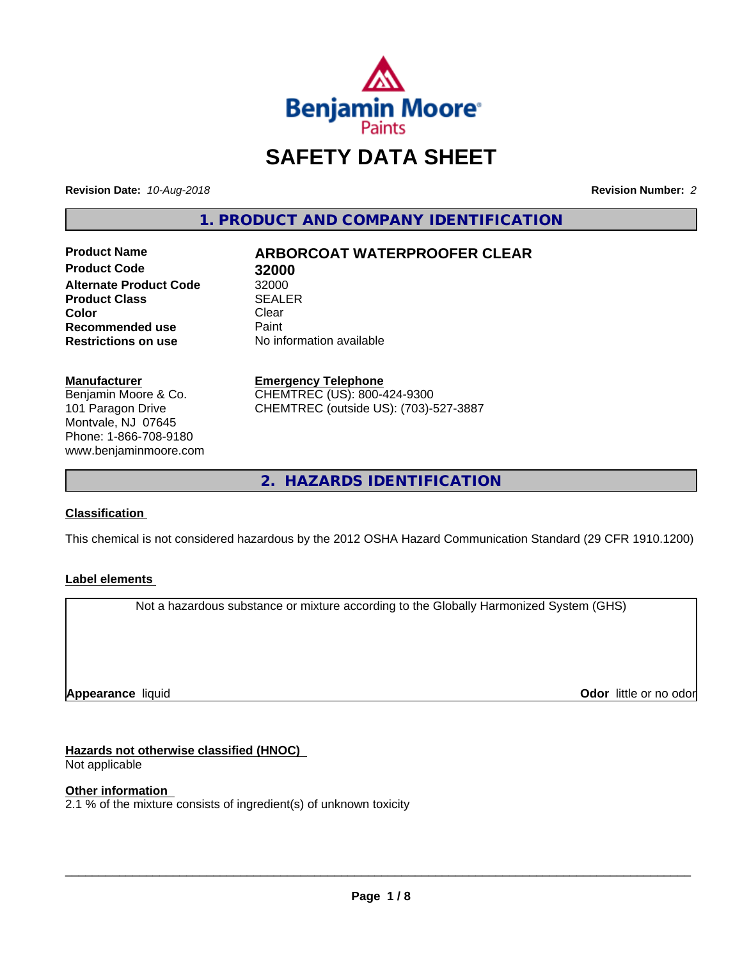

# **SAFETY DATA SHEET**

**Revision Date:** *10-Aug-2018* **Revision Number:** *2*

**1. PRODUCT AND COMPANY IDENTIFICATION**

**Product Code 32000 Alternate Product Code 32000<br>Product Class 62 SEALER Product Class Color** Clear Clear **Recommended use** Paint<br> **Restrictions on use** No inf

# **Product Name ARBORCOAT WATERPROOFER CLEAR**

**No information available** 

**Manufacturer**

Benjamin Moore & Co. 101 Paragon Drive Montvale, NJ 07645 Phone: 1-866-708-9180 www.benjaminmoore.com

### **Emergency Telephone**

CHEMTREC (US): 800-424-9300 CHEMTREC (outside US): (703)-527-3887

**2. HAZARDS IDENTIFICATION**

# **Classification**

This chemical is not considered hazardous by the 2012 OSHA Hazard Communication Standard (29 CFR 1910.1200)

# **Label elements**

Not a hazardous substance or mixture according to the Globally Harmonized System (GHS)

**Appearance** liquid

**Odor** little or no odor

# **Hazards not otherwise classified (HNOC)**

Not applicable

# **Other information**

 $2.1$  % of the mixture consists of ingredient(s) of unknown toxicity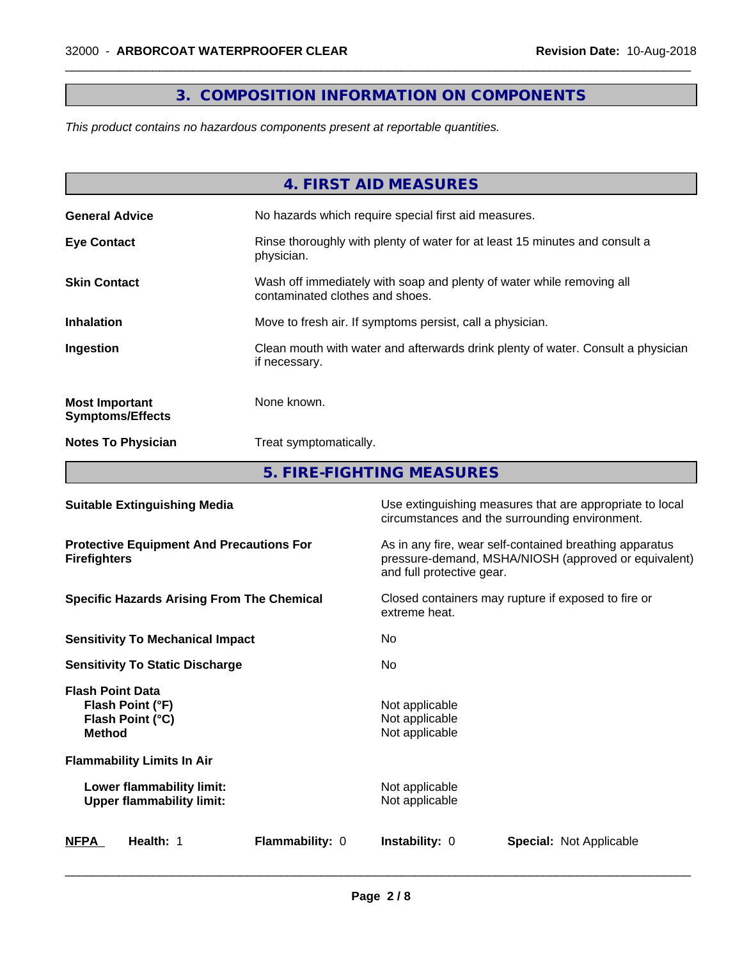# **3. COMPOSITION INFORMATION ON COMPONENTS**

 $\overline{\phantom{a}}$  ,  $\overline{\phantom{a}}$  ,  $\overline{\phantom{a}}$  ,  $\overline{\phantom{a}}$  ,  $\overline{\phantom{a}}$  ,  $\overline{\phantom{a}}$  ,  $\overline{\phantom{a}}$  ,  $\overline{\phantom{a}}$  ,  $\overline{\phantom{a}}$  ,  $\overline{\phantom{a}}$  ,  $\overline{\phantom{a}}$  ,  $\overline{\phantom{a}}$  ,  $\overline{\phantom{a}}$  ,  $\overline{\phantom{a}}$  ,  $\overline{\phantom{a}}$  ,  $\overline{\phantom{a}}$ 

*This product contains no hazardous components present at reportable quantities.*

|                                                  | 4. FIRST AID MEASURES                                                                                    |
|--------------------------------------------------|----------------------------------------------------------------------------------------------------------|
| <b>General Advice</b>                            | No hazards which require special first aid measures.                                                     |
| <b>Eye Contact</b>                               | Rinse thoroughly with plenty of water for at least 15 minutes and consult a<br>physician.                |
| <b>Skin Contact</b>                              | Wash off immediately with soap and plenty of water while removing all<br>contaminated clothes and shoes. |
| <b>Inhalation</b>                                | Move to fresh air. If symptoms persist, call a physician.                                                |
| Ingestion                                        | Clean mouth with water and afterwards drink plenty of water. Consult a physician<br>if necessary.        |
| <b>Most Important</b><br><b>Symptoms/Effects</b> | None known.                                                                                              |
| <b>Notes To Physician</b>                        | Treat symptomatically.                                                                                   |
|                                                  | 5. FIRE-FIGHTING MEASURES                                                                                |

| <b>Suitable Extinguishing Media</b>                                              | Use extinguishing measures that are appropriate to local<br>circumstances and the surrounding environment.                                   |  |  |
|----------------------------------------------------------------------------------|----------------------------------------------------------------------------------------------------------------------------------------------|--|--|
| <b>Protective Equipment And Precautions For</b><br><b>Firefighters</b>           | As in any fire, wear self-contained breathing apparatus<br>pressure-demand, MSHA/NIOSH (approved or equivalent)<br>and full protective gear. |  |  |
| <b>Specific Hazards Arising From The Chemical</b>                                | Closed containers may rupture if exposed to fire or<br>extreme heat.                                                                         |  |  |
| <b>Sensitivity To Mechanical Impact</b>                                          | No.                                                                                                                                          |  |  |
| <b>Sensitivity To Static Discharge</b>                                           | No.                                                                                                                                          |  |  |
| <b>Flash Point Data</b><br>Flash Point (°F)<br>Flash Point (°C)<br><b>Method</b> | Not applicable<br>Not applicable<br>Not applicable                                                                                           |  |  |
| <b>Flammability Limits In Air</b>                                                |                                                                                                                                              |  |  |
| Lower flammability limit:<br><b>Upper flammability limit:</b>                    | Not applicable<br>Not applicable                                                                                                             |  |  |
| NFPA<br>Health: 1<br><b>Flammability: 0</b>                                      | <b>Instability: 0</b><br><b>Special: Not Applicable</b>                                                                                      |  |  |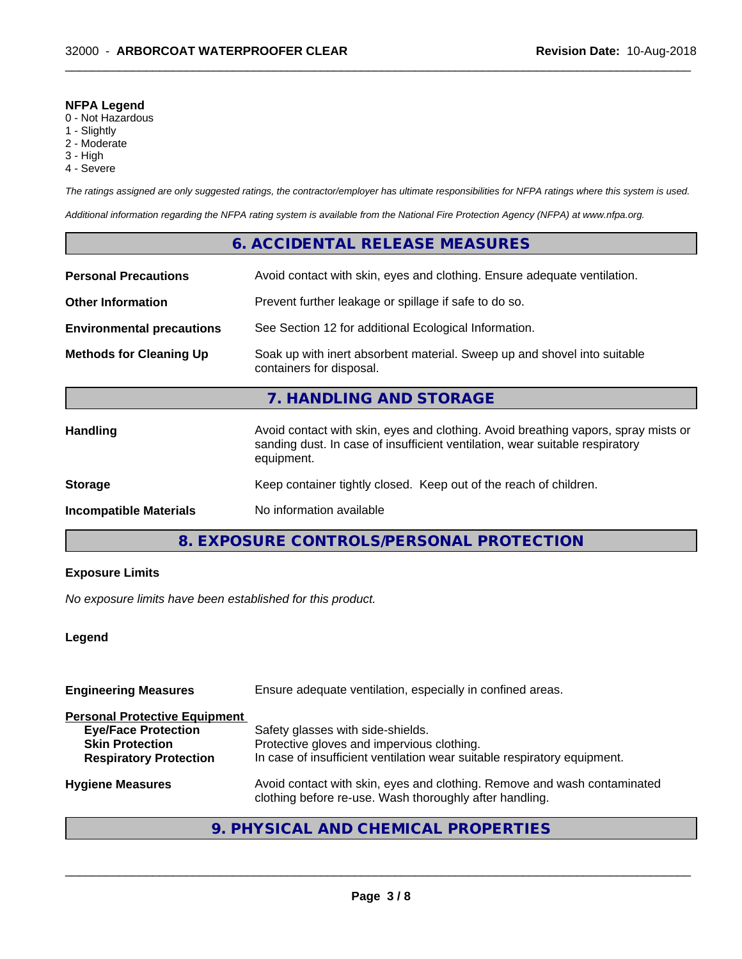#### **NFPA Legend**

- 0 Not Hazardous
- 1 Slightly
- 2 Moderate
- 3 High
- 4 Severe

*The ratings assigned are only suggested ratings, the contractor/employer has ultimate responsibilities for NFPA ratings where this system is used.*

 $\overline{\phantom{a}}$  ,  $\overline{\phantom{a}}$  ,  $\overline{\phantom{a}}$  ,  $\overline{\phantom{a}}$  ,  $\overline{\phantom{a}}$  ,  $\overline{\phantom{a}}$  ,  $\overline{\phantom{a}}$  ,  $\overline{\phantom{a}}$  ,  $\overline{\phantom{a}}$  ,  $\overline{\phantom{a}}$  ,  $\overline{\phantom{a}}$  ,  $\overline{\phantom{a}}$  ,  $\overline{\phantom{a}}$  ,  $\overline{\phantom{a}}$  ,  $\overline{\phantom{a}}$  ,  $\overline{\phantom{a}}$ 

*Additional information regarding the NFPA rating system is available from the National Fire Protection Agency (NFPA) at www.nfpa.org.*

# **6. ACCIDENTAL RELEASE MEASURES**

| <b>Personal Precautions</b>      | Avoid contact with skin, eyes and clothing. Ensure adequate ventilation.                                                                                                         |
|----------------------------------|----------------------------------------------------------------------------------------------------------------------------------------------------------------------------------|
| <b>Other Information</b>         | Prevent further leakage or spillage if safe to do so.                                                                                                                            |
| <b>Environmental precautions</b> | See Section 12 for additional Ecological Information.                                                                                                                            |
| <b>Methods for Cleaning Up</b>   | Soak up with inert absorbent material. Sweep up and shovel into suitable<br>containers for disposal.                                                                             |
|                                  | 7. HANDLING AND STORAGE                                                                                                                                                          |
| <b>Handling</b>                  | Avoid contact with skin, eyes and clothing. Avoid breathing vapors, spray mists or<br>sanding dust. In case of insufficient ventilation, wear suitable respiratory<br>equipment. |
| <b>Storage</b>                   | Keep container tightly closed. Keep out of the reach of children.                                                                                                                |
| <b>Incompatible Materials</b>    | No information available                                                                                                                                                         |

# **8. EXPOSURE CONTROLS/PERSONAL PROTECTION**

# **Exposure Limits**

*No exposure limits have been established for this product.*

### **Legend**

| <b>Engineering Measures</b>                                                                                                   | Ensure adequate ventilation, especially in confined areas.                                                                                                  |  |  |
|-------------------------------------------------------------------------------------------------------------------------------|-------------------------------------------------------------------------------------------------------------------------------------------------------------|--|--|
| <b>Personal Protective Equipment</b><br><b>Eye/Face Protection</b><br><b>Skin Protection</b><br><b>Respiratory Protection</b> | Safety glasses with side-shields.<br>Protective gloves and impervious clothing.<br>In case of insufficient ventilation wear suitable respiratory equipment. |  |  |
| <b>Hygiene Measures</b>                                                                                                       | Avoid contact with skin, eyes and clothing. Remove and wash contaminated<br>clothing before re-use. Wash thoroughly after handling.                         |  |  |

# **9. PHYSICAL AND CHEMICAL PROPERTIES**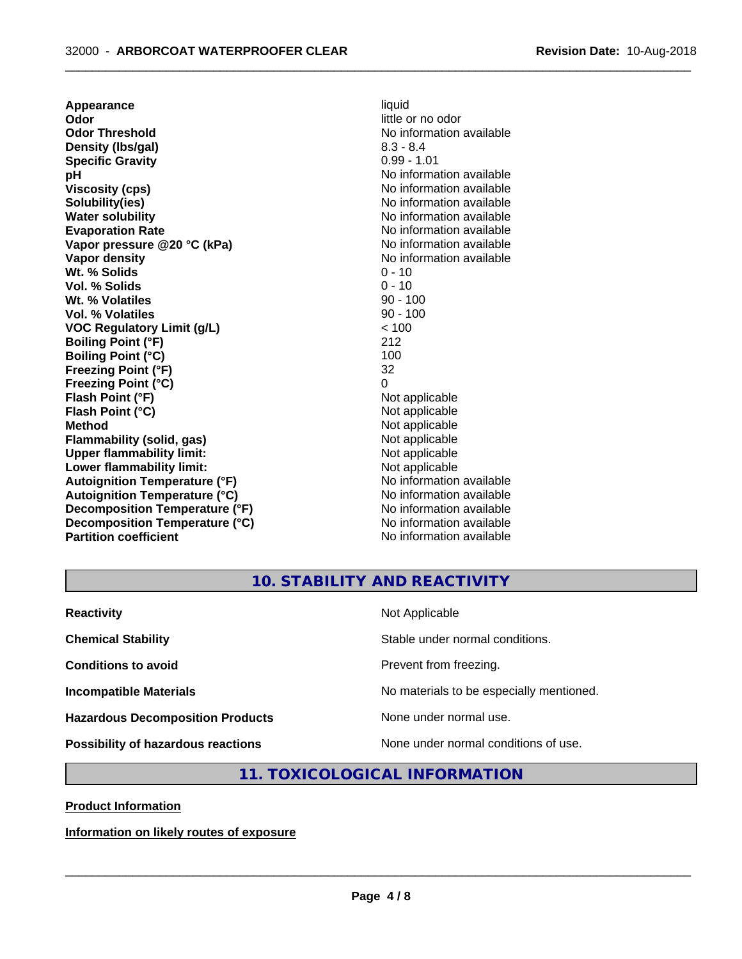**Appearance** liquid<br> **Odor** little c **Odor Threshold** No information available **Density (Ibs/gal)** 8.3 - 8.4<br> **Specific Gravity** 8.3 - 8.4 **Specific Gravity pH pH**  $\blacksquare$ **Viscosity (cps)** No information available **Solubility(ies)** No information available **Water solubility** No information available **Evaporation Rate No information available No information available Vapor pressure @20 °C (kPa)** No information available **Vapor density No information available No** information available **Wt. % Solids** 0 - 10 **Vol. % Solids Wt. % Volatiles** 90 - 100 **Vol. % Volatiles** 90 - 100 **VOC Regulatory Limit (g/L)** < 100 **Boiling Point (°F)** 212 **Boiling Point (°C)** 100<br> **Preezing Point (°F)** 32 **Freezing Point (°F) Freezing Point (°C)** 0 **Flash Point (°F)** Not applicable **Flash Point (°C)** Not applicable **Method**<br> **Flammability (solid, gas)**<br> **Commability (solid, gas)**<br>
Mot applicable **Flammability (solid, gas)**<br> **Upper flammability limit:**<br>
Upper flammability limit:<br>  $\begin{array}{ccc}\n\bullet & \bullet & \bullet \\
\bullet & \bullet & \bullet\n\end{array}$ **Upper flammability limit:**<br> **Lower flammability limit:**<br>
Not applicable<br>
Not applicable **Lower flammability limit:**<br> **Autoignition Temperature (°F)** Not applicable Not applicable not a Not applicable **Autoignition Temperature (°F) Autoignition Temperature (°C)** No information available **Decomposition Temperature (°F)** No information available **Decomposition Temperature (°C)** No information available **Partition coefficient** No information available

**Odor** little or no odor

 $\overline{\phantom{a}}$  ,  $\overline{\phantom{a}}$  ,  $\overline{\phantom{a}}$  ,  $\overline{\phantom{a}}$  ,  $\overline{\phantom{a}}$  ,  $\overline{\phantom{a}}$  ,  $\overline{\phantom{a}}$  ,  $\overline{\phantom{a}}$  ,  $\overline{\phantom{a}}$  ,  $\overline{\phantom{a}}$  ,  $\overline{\phantom{a}}$  ,  $\overline{\phantom{a}}$  ,  $\overline{\phantom{a}}$  ,  $\overline{\phantom{a}}$  ,  $\overline{\phantom{a}}$  ,  $\overline{\phantom{a}}$ 

**10. STABILITY AND REACTIVITY**

| <b>Reactivity</b>                       | Not Applicable                           |
|-----------------------------------------|------------------------------------------|
| <b>Chemical Stability</b>               | Stable under normal conditions.          |
| <b>Conditions to avoid</b>              | Prevent from freezing.                   |
| <b>Incompatible Materials</b>           | No materials to be especially mentioned. |
| <b>Hazardous Decomposition Products</b> | None under normal use.                   |
| Possibility of hazardous reactions      | None under normal conditions of use.     |

# **11. TOXICOLOGICAL INFORMATION**

**Product Information**

**Information on likely routes of exposure**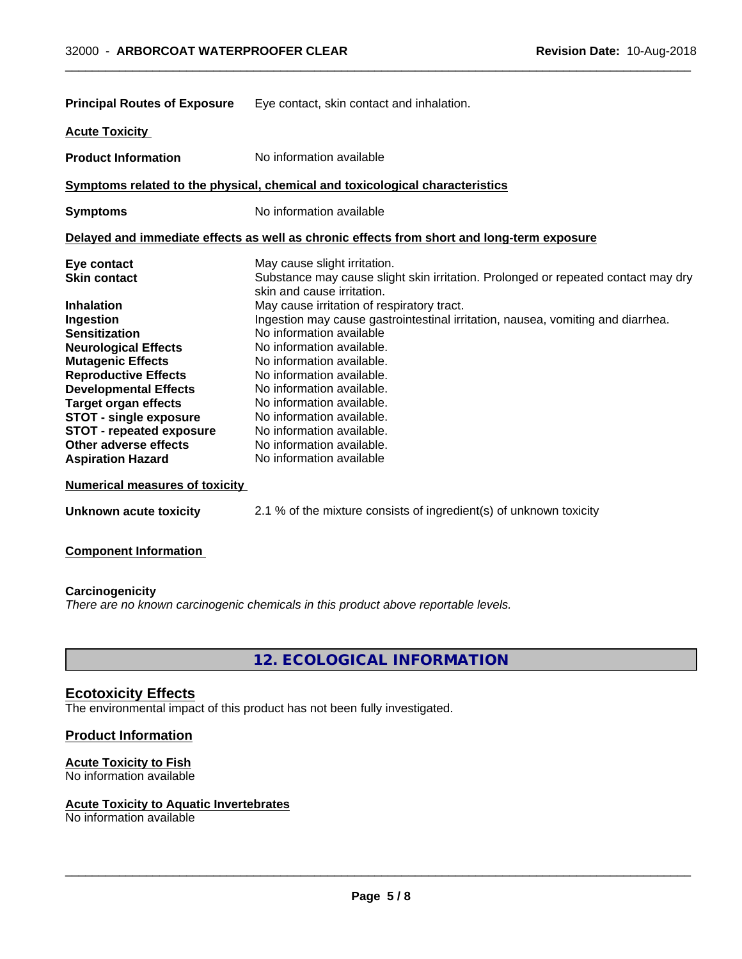| <b>Principal Routes of Exposure</b>                                                                                                                                                                                                                                                                                                      | Eye contact, skin contact and inhalation.                                                                                                                                                                                                                                                                                                                                                                                     |
|------------------------------------------------------------------------------------------------------------------------------------------------------------------------------------------------------------------------------------------------------------------------------------------------------------------------------------------|-------------------------------------------------------------------------------------------------------------------------------------------------------------------------------------------------------------------------------------------------------------------------------------------------------------------------------------------------------------------------------------------------------------------------------|
| <b>Acute Toxicity</b>                                                                                                                                                                                                                                                                                                                    |                                                                                                                                                                                                                                                                                                                                                                                                                               |
| <b>Product Information</b>                                                                                                                                                                                                                                                                                                               | No information available                                                                                                                                                                                                                                                                                                                                                                                                      |
|                                                                                                                                                                                                                                                                                                                                          | Symptoms related to the physical, chemical and toxicological characteristics                                                                                                                                                                                                                                                                                                                                                  |
| <b>Symptoms</b>                                                                                                                                                                                                                                                                                                                          | No information available                                                                                                                                                                                                                                                                                                                                                                                                      |
|                                                                                                                                                                                                                                                                                                                                          | Delayed and immediate effects as well as chronic effects from short and long-term exposure                                                                                                                                                                                                                                                                                                                                    |
| Eye contact<br><b>Skin contact</b>                                                                                                                                                                                                                                                                                                       | May cause slight irritation.<br>Substance may cause slight skin irritation. Prolonged or repeated contact may dry<br>skin and cause irritation.                                                                                                                                                                                                                                                                               |
| <b>Inhalation</b><br>Ingestion<br><b>Sensitization</b><br><b>Neurological Effects</b><br><b>Mutagenic Effects</b><br><b>Reproductive Effects</b><br><b>Developmental Effects</b><br><b>Target organ effects</b><br><b>STOT - single exposure</b><br><b>STOT - repeated exposure</b><br>Other adverse effects<br><b>Aspiration Hazard</b> | May cause irritation of respiratory tract.<br>Ingestion may cause gastrointestinal irritation, nausea, vomiting and diarrhea.<br>No information available<br>No information available.<br>No information available.<br>No information available.<br>No information available.<br>No information available.<br>No information available.<br>No information available.<br>No information available.<br>No information available |
| <b>Numerical measures of toxicity</b>                                                                                                                                                                                                                                                                                                    |                                                                                                                                                                                                                                                                                                                                                                                                                               |
| Unknown acute toxicity                                                                                                                                                                                                                                                                                                                   | 2.1 % of the mixture consists of ingredient(s) of unknown toxicity                                                                                                                                                                                                                                                                                                                                                            |

 $\overline{\phantom{a}}$  ,  $\overline{\phantom{a}}$  ,  $\overline{\phantom{a}}$  ,  $\overline{\phantom{a}}$  ,  $\overline{\phantom{a}}$  ,  $\overline{\phantom{a}}$  ,  $\overline{\phantom{a}}$  ,  $\overline{\phantom{a}}$  ,  $\overline{\phantom{a}}$  ,  $\overline{\phantom{a}}$  ,  $\overline{\phantom{a}}$  ,  $\overline{\phantom{a}}$  ,  $\overline{\phantom{a}}$  ,  $\overline{\phantom{a}}$  ,  $\overline{\phantom{a}}$  ,  $\overline{\phantom{a}}$ 

**Component Information**

**Carcinogenicity** *There are no known carcinogenic chemicals in this product above reportable levels.*

**12. ECOLOGICAL INFORMATION**

# **Ecotoxicity Effects**

The environmental impact of this product has not been fully investigated.

# **Product Information**

# **Acute Toxicity to Fish**

No information available

## **Acute Toxicity to Aquatic Invertebrates**

No information available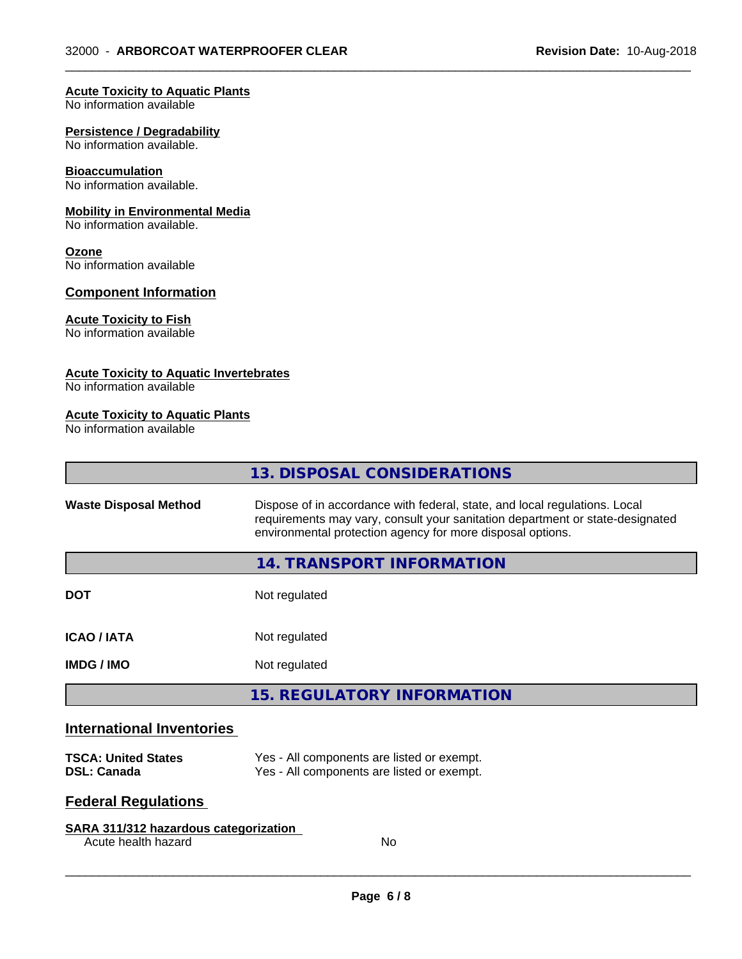$\overline{\phantom{a}}$  ,  $\overline{\phantom{a}}$  ,  $\overline{\phantom{a}}$  ,  $\overline{\phantom{a}}$  ,  $\overline{\phantom{a}}$  ,  $\overline{\phantom{a}}$  ,  $\overline{\phantom{a}}$  ,  $\overline{\phantom{a}}$  ,  $\overline{\phantom{a}}$  ,  $\overline{\phantom{a}}$  ,  $\overline{\phantom{a}}$  ,  $\overline{\phantom{a}}$  ,  $\overline{\phantom{a}}$  ,  $\overline{\phantom{a}}$  ,  $\overline{\phantom{a}}$  ,  $\overline{\phantom{a}}$ 

#### **Acute Toxicity to Aquatic Plants**

No information available

#### **Persistence / Degradability**

No information available.

### **Bioaccumulation**

No information available.

#### **Mobility in Environmental Media**

No information available.

#### **Ozone**

No information available

# **Component Information**

## **Acute Toxicity to Fish**

No information available

## **Acute Toxicity to Aquatic Invertebrates**

No information available

# **Acute Toxicity to Aquatic Plants**

No information available

|                                                                               | 13. DISPOSAL CONSIDERATIONS                                                                                                                                                                                               |
|-------------------------------------------------------------------------------|---------------------------------------------------------------------------------------------------------------------------------------------------------------------------------------------------------------------------|
| <b>Waste Disposal Method</b>                                                  | Dispose of in accordance with federal, state, and local regulations. Local<br>requirements may vary, consult your sanitation department or state-designated<br>environmental protection agency for more disposal options. |
|                                                                               | <b>14. TRANSPORT INFORMATION</b>                                                                                                                                                                                          |
| DOT                                                                           | Not regulated                                                                                                                                                                                                             |
| <b>ICAO / IATA</b>                                                            | Not regulated                                                                                                                                                                                                             |
| IMDG / IMO                                                                    | Not regulated                                                                                                                                                                                                             |
|                                                                               | <b>15. REGULATORY INFORMATION</b>                                                                                                                                                                                         |
| <b>International Inventories</b><br><b>TSCA: United States</b><br>DSL: Canada | Yes - All components are listed or exempt.<br>Yes - All components are listed or exempt.                                                                                                                                  |
| <b>Federal Regulations</b>                                                    |                                                                                                                                                                                                                           |
|                                                                               |                                                                                                                                                                                                                           |
| <b>SARA 311/312 hazardous categorization</b><br>Acute health hazard           | No                                                                                                                                                                                                                        |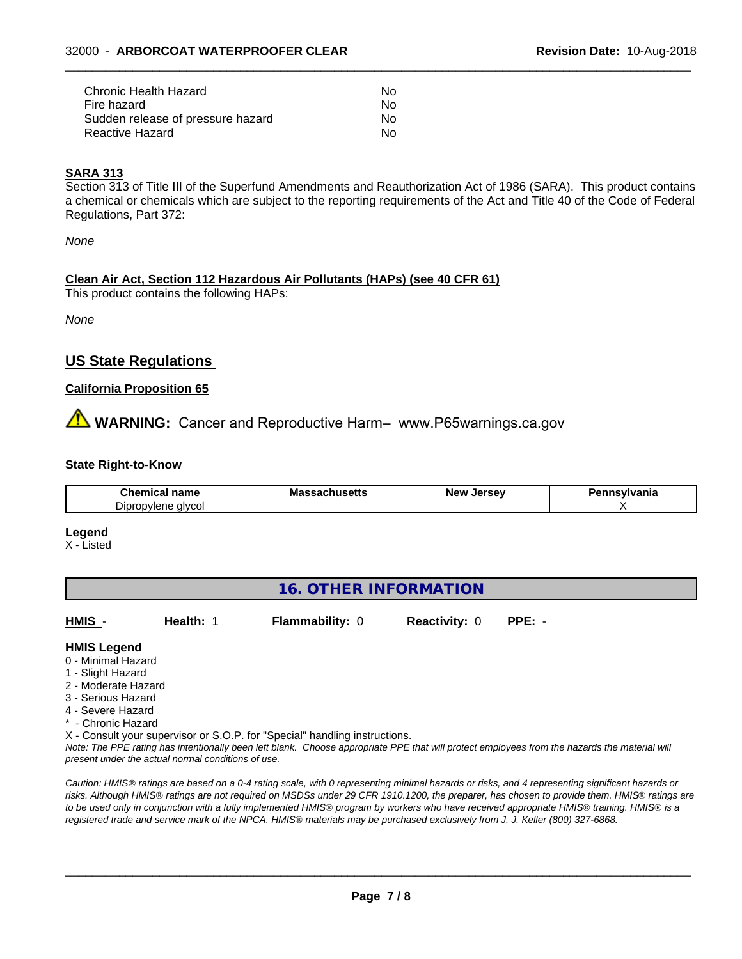| Chronic Health Hazard             | No. |  |
|-----------------------------------|-----|--|
| Fire hazard                       | No. |  |
| Sudden release of pressure hazard | No  |  |
| Reactive Hazard                   | No  |  |

# **SARA 313**

Section 313 of Title III of the Superfund Amendments and Reauthorization Act of 1986 (SARA). This product contains a chemical or chemicals which are subject to the reporting requirements of the Act and Title 40 of the Code of Federal Regulations, Part 372:

 $\overline{\phantom{a}}$  ,  $\overline{\phantom{a}}$  ,  $\overline{\phantom{a}}$  ,  $\overline{\phantom{a}}$  ,  $\overline{\phantom{a}}$  ,  $\overline{\phantom{a}}$  ,  $\overline{\phantom{a}}$  ,  $\overline{\phantom{a}}$  ,  $\overline{\phantom{a}}$  ,  $\overline{\phantom{a}}$  ,  $\overline{\phantom{a}}$  ,  $\overline{\phantom{a}}$  ,  $\overline{\phantom{a}}$  ,  $\overline{\phantom{a}}$  ,  $\overline{\phantom{a}}$  ,  $\overline{\phantom{a}}$ 

*None*

### **Clean Air Act,Section 112 Hazardous Air Pollutants (HAPs) (see 40 CFR 61)**

This product contains the following HAPs:

*None*

# **US State Regulations**

### **California Proposition 65**

**WARNING:** Cancer and Reproductive Harm– www.P65warnings.ca.gov

#### **State Right-to-Know**

| Cher                                              | Mass    | <b>Arcov</b> | <b>Insvlvania</b> |
|---------------------------------------------------|---------|--------------|-------------------|
| .                                                 | ----    | <b>New</b>   |                   |
| name                                              | บแนวចแว | יםו          |                   |
| тке                                               | - - -   | 35           |                   |
| $\overline{\phantom{0}}$<br>Dipropylene<br>alvcol |         |              |                   |

**Legend**

X - Listed

# **16. OTHER INFORMATION**

**HMIS** - **Health:** 1 **Flammability:** 0 **Reactivity:** 0 **PPE:** -

### **HMIS Legend**

- 0 Minimal Hazard
- 1 Slight Hazard
- 2 Moderate Hazard
- 3 Serious Hazard
- 4 Severe Hazard
- \* Chronic Hazard

X - Consult your supervisor or S.O.P. for "Special" handling instructions.

*Note: The PPE rating has intentionally been left blank. Choose appropriate PPE that will protect employees from the hazards the material will present under the actual normal conditions of use.*

*Caution: HMISÒ ratings are based on a 0-4 rating scale, with 0 representing minimal hazards or risks, and 4 representing significant hazards or risks. Although HMISÒ ratings are not required on MSDSs under 29 CFR 1910.1200, the preparer, has chosen to provide them. HMISÒ ratings are to be used only in conjunction with a fully implemented HMISÒ program by workers who have received appropriate HMISÒ training. HMISÒ is a registered trade and service mark of the NPCA. HMISÒ materials may be purchased exclusively from J. J. Keller (800) 327-6868.*